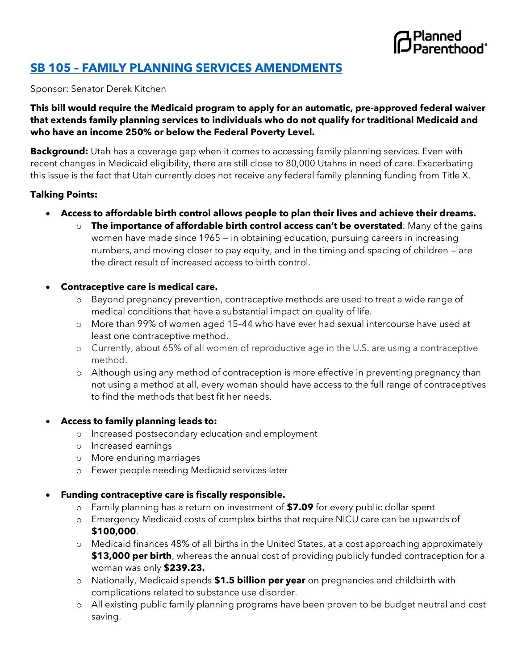

# **SB 105 – [FAMILY PLANNING SERVICES AMENDMENTS](https://le.utah.gov/~2022/bills/static/SB0105.html)**

Sponsor: Senator Derek Kitchen

## **This bill would require the Medicaid program to apply for an automatic, pre-approved federal waiver that extends family planning services to individuals who do not qualify for traditional Medicaid and who have an income 250% or below the Federal Poverty Level.**

**Background:** Utah has a coverage gap when it comes to accessing family planning services. Even with recent changes in Medicaid eligibility, there are still close to 80,000 Utahns in need of care. Exacerbating this issue is the fact that Utah currently does not receive any federal family planning funding from Title X.

### **Talking Points:**

- **Access to affordable birth control allows people to plan their lives and achieve their dreams.**
	- o **The importance of affordable birth control access can't be overstated**: Many of the gains women have made since 1965 — in obtaining education, pursuing careers in increasing numbers, and moving closer to pay equity, and in the timing and spacing of children — are the direct result of increased access to birth control.

#### • **Contraceptive care is medical care.**

- o Beyond pregnancy prevention, contraceptive methods are used to treat a wide range of medical conditions that have a substantial impact on quality of life.
- o More than 99% of women aged 15–44 who have ever had sexual intercourse have used at least one contraceptive method.
- o Currently, about 65% of all women of reproductive age in the U.S. are using a contraceptive method.
- o Although using any method of contraception is more effective in preventing pregnancy than not using a method at all, every woman should have access to the full range of contraceptives to find the methods that best fit her needs.

### • **Access to family planning leads to:**

- o Increased postsecondary education and employment
- o Increased earnings
- o More enduring marriages
- o Fewer people needing Medicaid services later

### • **Funding contraceptive care is fiscally responsible.**

- o Family planning has a return on investment of **\$7.09** for every public dollar spent
- o Emergency Medicaid costs of complex births that require NICU care can be upwards of **\$100,000**.
- o Medicaid finances 48% of all births in the United States, at a cost approaching approximately **\$13,000 per birth**, whereas the annual cost of providing publicly funded contraception for a woman was only **\$239.23.**
- o Nationally, Medicaid spends **\$1.5 billion per year** on pregnancies and childbirth with complications related to substance use disorder.
- o All existing public family planning programs have been proven to be budget neutral and cost saving.